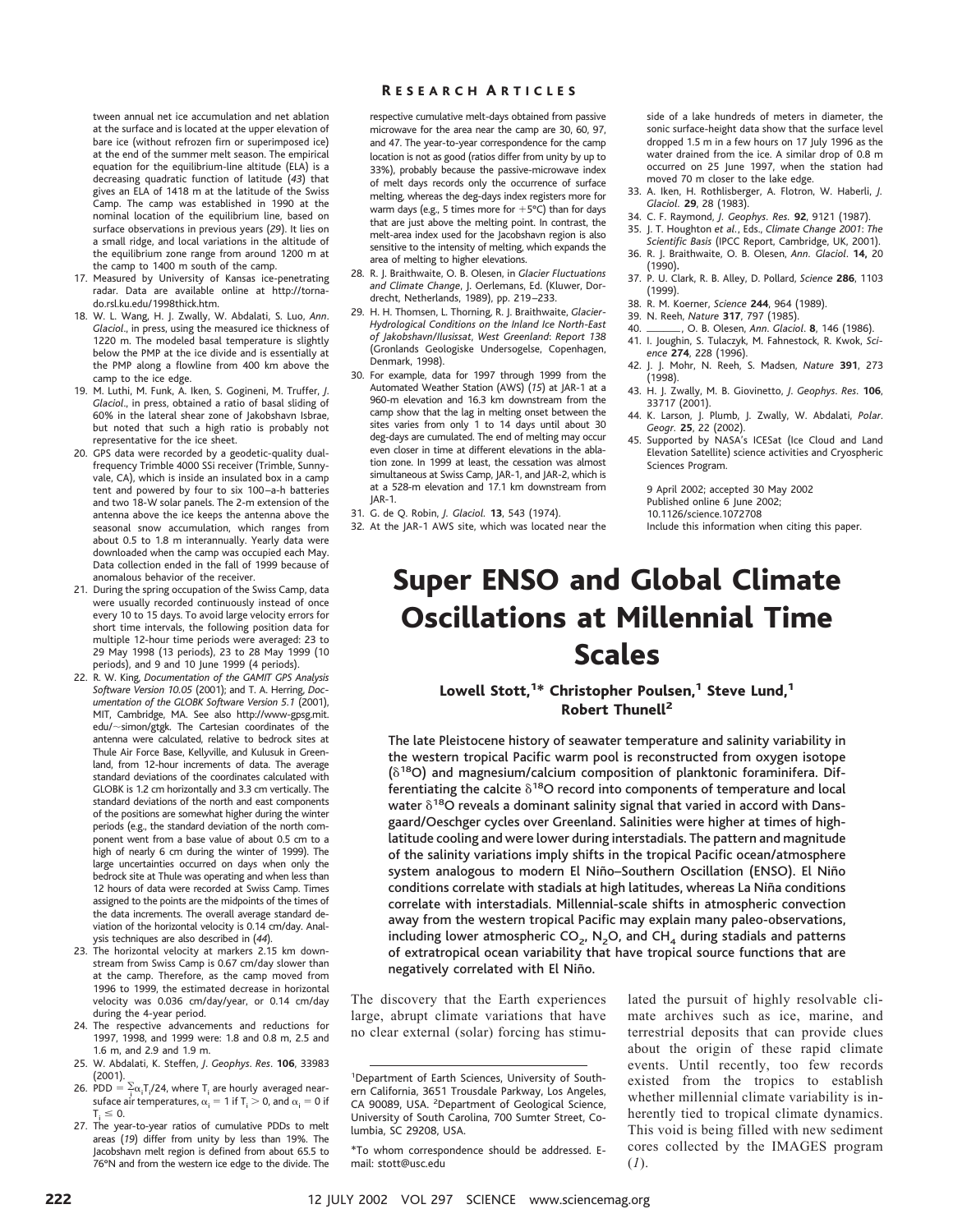tween annual net ice accumulation and net ablation at the surface and is located at the upper elevation of bare ice (without refrozen firn or superimposed ice) at the end of the summer melt season. The empirical equation for the equilibrium-line altitude (ELA) is a decreasing quadratic function of latitude (*43*) that gives an ELA of 1418 m at the latitude of the Swiss Camp. The camp was established in 1990 at the nominal location of the equilibrium line, based on surface observations in previous years (*29*). It lies on a small ridge, and local variations in the altitude of the equilibrium zone range from around 1200 m at the camp to 1400 m south of the camp.

- 17. Measured by University of Kansas ice-penetrating radar. Data are available online at http://tornado.rsl.ku.edu/1998thick.htm.
- 18. W. L. Wang, H. J. Zwally, W. Abdalati, S. Luo, *Ann*. *Glaciol*., in press, using the measured ice thickness of 1220 m. The modeled basal temperature is slightly below the PMP at the ice divide and is essentially at the PMP along a flowline from 400 km above the camp to the ice edge.
- 19. M. Luthi, M. Funk, A. Iken, S. Gogineni, M. Truffer, *J*. *Glaciol*., in press, obtained a ratio of basal sliding of 60% in the lateral shear zone of Jakobshavn Isbrae, but noted that such a high ratio is probably not representative for the ice sheet.
- 20. GPS data were recorded by a geodetic-quality dualfrequency Trimble 4000 SSi receiver (Trimble, Sunnyvale, CA), which is inside an insulated box in a camp tent and powered by four to six 100 –a-h batteries and two 18-W solar panels. The 2-m extension of the antenna above the ice keeps the antenna above the seasonal snow accumulation, which ranges from about 0.5 to 1.8 m interannually. Yearly data were downloaded when the camp was occupied each May. Data collection ended in the fall of 1999 because of anomalous behavior of the receiver.
- 21. During the spring occupation of the Swiss Camp, data were usually recorded continuously instead of once every 10 to 15 days. To avoid large velocity errors for short time intervals, the following position data for multiple 12-hour time periods were averaged: 23 to 29 May 1998 (13 periods), 23 to 28 May 1999 (10 periods), and 9 and 10 June 1999 (4 periods).
- 22. R. W. King, *Documentation of the GAMIT GPS Analysis Software Version 10.05* (2001); and T. A. Herring, *Documentation of the GLOBK Software Version 5.1* (2001), MIT, Cambridge, MA. See also http://www-gpsg.mit.  $edu/\sim$ simon/gtgk. The Cartesian coordinates of the antenna were calculated, relative to bedrock sites at Thule Air Force Base, Kellyville, and Kulusuk in Greenland, from 12-hour increments of data. The average standard deviations of the coordinates calculated with GLOBK is 1.2 cm horizontally and 3.3 cm vertically. The standard deviations of the north and east components of the positions are somewhat higher during the winter periods (e.g., the standard deviation of the north component went from a base value of about 0.5 cm to a high of nearly 6 cm during the winter of 1999). The large uncertainties occurred on days when only the bedrock site at Thule was operating and when less than 12 hours of data were recorded at Swiss Camp. Times assigned to the points are the midpoints of the times of the data increments. The overall average standard deviation of the horizontal velocity is 0.14 cm/day. Analysis techniques are also described in (*44*).
- 23. The horizontal velocity at markers 2.15 km downstream from Swiss Camp is 0.67 cm/day slower than at the camp. Therefore, as the camp moved from 1996 to 1999, the estimated decrease in horizontal velocity was 0.036 cm/day/year, or 0.14 cm/day during the 4-year period.
- 24. The respective advancements and reductions for 1997, 1998, and 1999 were: 1.8 and 0.8 m, 2.5 and 1.6 m, and 2.9 and 1.9 m.
- 25. W. Abdalati, K. Steffen, *J*. *Geophys*. *Res*. **106**, 33983 (2001).
- 26. PDD =  $\sum_i \alpha_i T_i/24$ , where  $T_i$  are hourly averaged nearsuface air temperatures,  $\alpha_i = 1$  if  $T_i > 0$ , and  $\alpha_i = 0$  if  $T<sub>i</sub> \leq 0$ .
- 27. The year-to-year ratios of cumulative PDDs to melt areas (*19*) differ from unity by less than 19%. The Jacobshavn melt region is defined from about 65.5 to 76°N and from the western ice edge to the divide. The

# R ESEARCH A RTICLES

respective cumulative melt-days obtained from passive microwave for the area near the camp are 30, 60, 97, and 47. The year-to-year correspondence for the camp location is not as good (ratios differ from unity by up to 33%), probably because the passive-microwave index of melt days records only the occurrence of surface melting, whereas the deg-days index registers more for warm days (e.g., 5 times more for  $+5^{\circ}$ C) than for days that are just above the melting point. In contrast, the melt-area index used for the Jacobshavn region is also sensitive to the intensity of melting, which expands the area of melting to higher elevations.

- 28. R. J. Braithwaite, O. B. Olesen, in *Glacier Fluctuations and Climate Change*, J. Oerlemans, Ed. (Kluwer, Dordrecht, Netherlands, 1989), pp. 219 –233.
- 29. H. H. Thomsen, L. Thorning, R. J. Braithwaite, *Glacier*-*Hydrological Conditions on the Inland Ice North*-*East of Jakobshavn/Ilusissat*, *West Greenland*: *Report 138* (Gronlands Geologiske Undersogelse, Copenhagen, Denmark, 1998).
- 30. For example, data for 1997 through 1999 from the Automated Weather Station (AWS) (15) at JAR-1 at a 960-m elevation and 16.3 km downstream from the camp show that the lag in melting onset between the sites varies from only 1 to 14 days until about 30 deg-days are cumulated. The end of melting may occur even closer in time at different elevations in the ablation zone. In 1999 at least, the cessation was almost simultaneous at Swiss Camp, JAR-1, and JAR-2, which is at a 528-m elevation and 17.1 km downstream from JAR-1.
- 31. G. de Q. Robin, *J. Glaciol.* **13**, 543 (1974).
- 32. At the JAR-1 AWS site, which was located near the

side of a lake hundreds of meters in diameter, the sonic surface-height data show that the surface level dropped 1.5 m in a few hours on 17 July 1996 as the water drained from the ice. A similar drop of 0.8 m occurred on 25 June 1997, when the station had moved 70 m closer to the lake edge.

- 33. A. Iken, H. Rothlisberger, A. Flotron, W. Haberli, *J. Glaciol.* **29**, 28 (1983).
- 34. C. F. Raymond, *J. Geophys. Res.* **92**, 9121 (1987).
- 35. J. T. Houghton *et al.*, Eds., *Climate Change 2001*: *The Scientific Basis* (IPCC Report, Cambridge, UK, 2001). 36. R. J. Braithwaite, O. B. Olesen, *Ann. Glaciol*. **14,** 20
- (1990)**.** 37. P. U. Clark, R. B. Alley, D. Pollard, *Science* **286**, 1103 (1999).
- 38. R. M. Koerner, *Science* **244**, 964 (1989).
- 
- 39. N. Reeh, *Nature* **317**, 797 (1985). 40. , O. B. Olesen, *Ann*. *Glaciol*. **<sup>8</sup>**, 146 (1986).
- 41. I. Joughin, S. Tulaczyk, M. Fahnestock, R. Kwok, *Science* **274**, 228 (1996).
- 42. J. J. Mohr, N. Reeh, S. Madsen, *Nature* **391**, 273 *.*<br>(1998).
- 43. H. J. Zwally, M. B. Giovinetto, *J*. *Geophys*. *Res*. **106**, 33717 (2001).
- 44. K. Larson, J. Plumb, J. Zwally, W. Abdalati, *Polar*. *Geogr.* **25**, 22 (2002).
- 45. Supported by NASA's ICESat (Ice Cloud and Land Elevation Satellite) science activities and Cryospheric Sciences Program.

9 April 2002; accepted 30 May 2002 Published online 6 June 2002;

10.1126/science.1072708

# Super ENSO and Global Climate Oscillations at Millennial Time Scales

# Lowell Stott,<sup>1\*</sup> Christopher Poulsen,<sup>1</sup> Steve Lund,<sup>1</sup> Robert Thunell<sup>2</sup>

The late Pleistocene history of seawater temperature and salinity variability in the western tropical Pacific warm pool is reconstructed from oxygen isotope  $(\delta^{18}O)$  and magnesium/calcium composition of planktonic foraminifera. Differentiating the calcite  $\delta^{18}O$  record into components of temperature and local water  $\delta^{18}$ O reveals a dominant salinity signal that varied in accord with Dansgaard/Oeschger cycles over Greenland. Salinities were higher at times of highlatitude cooling and were lower during interstadials. The pattern and magnitude of the salinity variations imply shifts in the tropical Pacific ocean/atmosphere system analogous to modern El Niño-Southern Oscillation (ENSO). El Niño conditions correlate with stadials at high latitudes, whereas La Niña conditions correlate with interstadials. Millennial-scale shifts in atmospheric convection away from the western tropical Pacific may explain many paleo-observations, including lower atmospheric  $CO_2$ , N<sub>2</sub>O, and CH<sub>4</sub> during stadials and patterns of extratropical ocean variability that have tropical source functions that are negatively correlated with El Niño.

The discovery that the Earth experiences large, abrupt climate variations that have no clear external (solar) forcing has stimu-

lated the pursuit of highly resolvable climate archives such as ice, marine, and terrestrial deposits that can provide clues about the origin of these rapid climate events. Until recently, too few records existed from the tropics to establish whether millennial climate variability is inherently tied to tropical climate dynamics. This void is being filled with new sediment cores collected by the IMAGES program (*1*).

Include this information when citing this paper.

<sup>&</sup>lt;sup>1</sup>Department of Earth Sciences, University of Southern California, 3651 Trousdale Parkway, Los Angeles, CA 90089, USA. <sup>2</sup>Department of Geological Science, University of South Carolina, 700 Sumter Street, Columbia, SC 29208, USA.

<sup>\*</sup>To whom correspondence should be addressed. Email: stott@usc.edu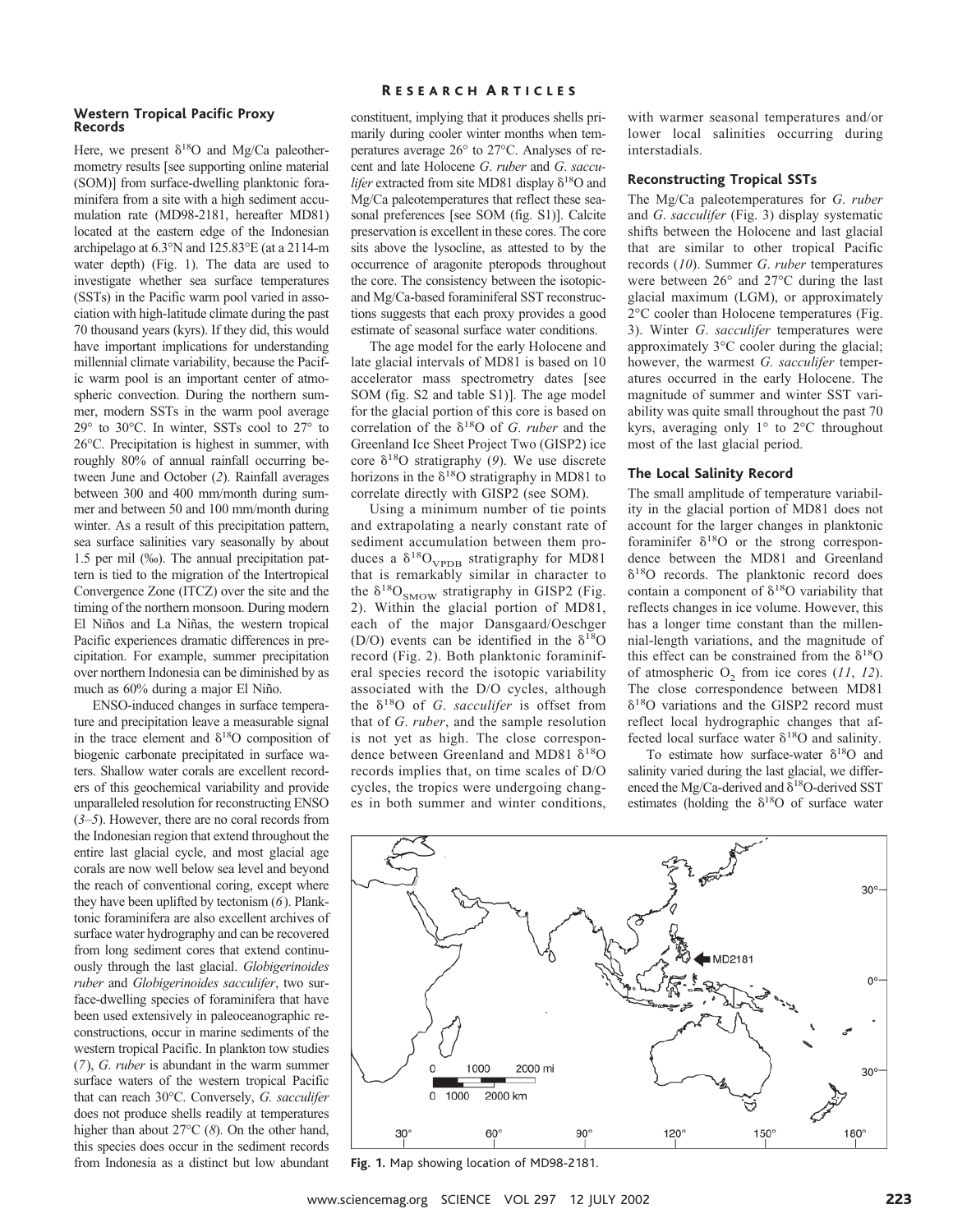#### **Western Tropical Pacific Proxy Records**

Here, we present  $\delta^{18}O$  and Mg/Ca paleothermometry results [see supporting online material (SOM)] from surface-dwelling planktonic foraminifera from a site with a high sediment accumulation rate (MD98-2181, hereafter MD81) located at the eastern edge of the Indonesian archipelago at 6.3°N and 125.83°E (at a 2114-m water depth) (Fig. 1). The data are used to investigate whether sea surface temperatures (SSTs) in the Pacific warm pool varied in association with high-latitude climate during the past 70 thousand years (kyrs). If they did, this would have important implications for understanding millennial climate variability, because the Pacific warm pool is an important center of atmospheric convection. During the northern summer, modern SSTs in the warm pool average 29° to 30°C. In winter, SSTs cool to 27° to 26°C. Precipitation is highest in summer, with roughly 80% of annual rainfall occurring between June and October (*2*). Rainfall averages between 300 and 400 mm/month during summer and between 50 and 100 mm/month during winter. As a result of this precipitation pattern, sea surface salinities vary seasonally by about 1.5 per mil (‰). The annual precipitation pattern is tied to the migration of the Intertropical Convergence Zone (ITCZ) over the site and the timing of the northern monsoon. During modern El Niños and La Niñas, the western tropical Pacific experiences dramatic differences in precipitation. For example, summer precipitation over northern Indonesia can be diminished by as much as  $60\%$  during a major El Niño.

ENSO-induced changes in surface temperature and precipitation leave a measurable signal in the trace element and  $\delta^{18}$ O composition of biogenic carbonate precipitated in surface waters. Shallow water corals are excellent recorders of this geochemical variability and provide unparalleled resolution for reconstructing ENSO (*3*–*5*). However, there are no coral records from the Indonesian region that extend throughout the entire last glacial cycle, and most glacial age corals are now well below sea level and beyond the reach of conventional coring, except where they have been uplifted by tectonism (*6*). Planktonic foraminifera are also excellent archives of surface water hydrography and can be recovered from long sediment cores that extend continuously through the last glacial. *Globigerinoides ruber* and *Globigerinoides sacculifer*, two surface-dwelling species of foraminifera that have been used extensively in paleoceanographic reconstructions, occur in marine sediments of the western tropical Pacific. In plankton tow studies (*7*), *G*. *ruber* is abundant in the warm summer surface waters of the western tropical Pacific that can reach 30°C. Conversely, *G. sacculifer* does not produce shells readily at temperatures higher than about 27°C (*8*). On the other hand, this species does occur in the sediment records from Indonesia as a distinct but low abundant

# R ESEARCH A RTICLES

constituent, implying that it produces shells primarily during cooler winter months when temperatures average 26° to 27°C. Analyses of recent and late Holocene *G*. *ruber* and *G*. *sacculifer* extracted from site MD81 display  $\delta^{18}$ O and Mg/Ca paleotemperatures that reflect these seasonal preferences [see SOM (fig. S1)]. Calcite preservation is excellent in these cores. The core sits above the lysocline, as attested to by the occurrence of aragonite pteropods throughout the core. The consistency between the isotopicand Mg/Ca-based foraminiferal SST reconstructions suggests that each proxy provides a good estimate of seasonal surface water conditions.

The age model for the early Holocene and late glacial intervals of MD81 is based on 10 accelerator mass spectrometry dates [see SOM (fig. S2 and table S1)]. The age model for the glacial portion of this core is based on correlation of the  $\delta^{18}O$  of *G. ruber* and the Greenland Ice Sheet Project Two (GISP2) ice core  $\delta^{18}$ O stratigraphy (9). We use discrete horizons in the  $\delta^{18}O$  stratigraphy in MD81 to correlate directly with GISP2 (see SOM).

Using a minimum number of tie points and extrapolating a nearly constant rate of sediment accumulation between them produces a  $\delta^{18}O_{\text{VPDB}}$  stratigraphy for MD81 that is remarkably similar in character to the  $\delta^{18}O_{SMOW}$  stratigraphy in GISP2 (Fig. 2). Within the glacial portion of MD81, each of the major Dansgaard/Oeschger (D/O) events can be identified in the  $\delta^{18}O$ record (Fig. 2). Both planktonic foraminiferal species record the isotopic variability associated with the D/O cycles, although the  $\delta^{18}$ O of *G. sacculifer* is offset from that of *G*. *ruber*, and the sample resolution is not yet as high. The close correspondence between Greenland and MD81  $\delta^{18}O$ records implies that, on time scales of D/O cycles, the tropics were undergoing changes in both summer and winter conditions, with warmer seasonal temperatures and/or lower local salinities occurring during interstadials.

### **Reconstructing Tropical SSTs**

The Mg/Ca paleotemperatures for *G*. *ruber* and *G*. *sacculifer* (Fig. 3) display systematic shifts between the Holocene and last glacial that are similar to other tropical Pacific records (*10*). Summer *G*. *ruber* temperatures were between 26° and 27°C during the last glacial maximum (LGM), or approximately 2°C cooler than Holocene temperatures (Fig. 3). Winter *G*. *sacculifer* temperatures were approximately 3°C cooler during the glacial; however, the warmest *G. sacculifer* temperatures occurred in the early Holocene. The magnitude of summer and winter SST variability was quite small throughout the past 70 kyrs, averaging only 1° to 2°C throughout most of the last glacial period.

# **The Local Salinity Record**

The small amplitude of temperature variability in the glacial portion of MD81 does not account for the larger changes in planktonic foraminifer  $\delta^{18}$ O or the strong correspondence between the MD81 and Greenland  $\delta^{18}$ O records. The planktonic record does contain a component of  $\delta^{18}O$  variability that reflects changes in ice volume. However, this has a longer time constant than the millennial-length variations, and the magnitude of this effect can be constrained from the  $\delta^{18}O$ of atmospheric  $O_2$  from ice cores  $(11, 12)$ . The close correspondence between MD81  $\delta^{18}$ O variations and the GISP2 record must reflect local hydrographic changes that affected local surface water  $\delta^{18}O$  and salinity.

To estimate how surface-water  $\delta^{18}O$  and salinity varied during the last glacial, we differenced the Mg/Ca-derived and  $\delta^{18}$ O-derived SST estimates (holding the  $\delta^{18}O$  of surface water



**Fig. 1.** Map showing location of MD98-2181.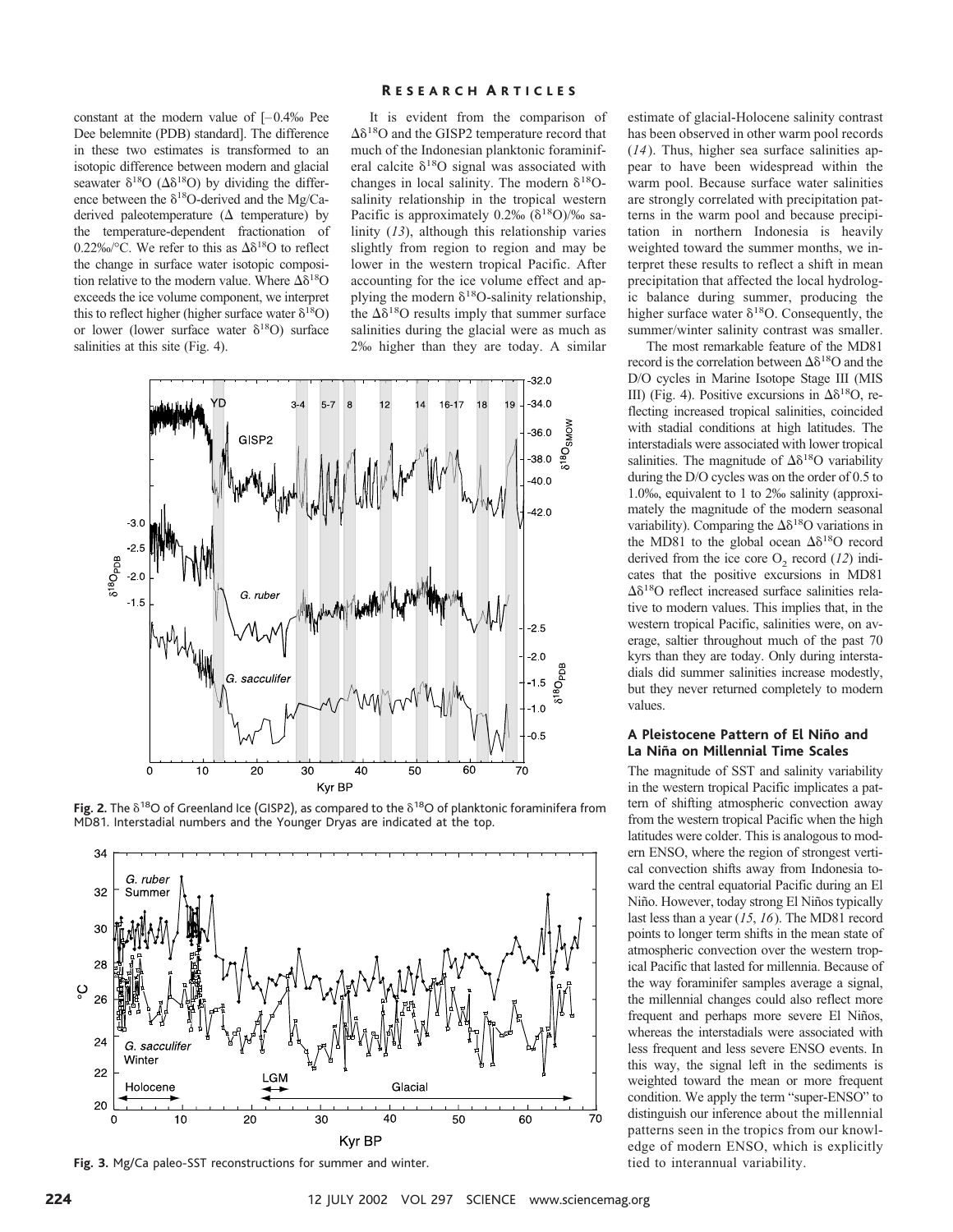constant at the modern value of [–0.4‰ Pee Dee belemnite (PDB) standard]. The difference in these two estimates is transformed to an isotopic difference between modern and glacial seawater  $\delta^{18}O$  ( $\Delta \delta^{18}O$ ) by dividing the difference between the  $\delta^{18}$ O-derived and the Mg/Caderived paleotemperature  $(\Delta$  temperature) by the temperature-dependent fractionation of 0.22‰/°C. We refer to this as  $\Delta \delta^{18}O$  to reflect the change in surface water isotopic composition relative to the modern value. Where  $\Delta\delta^{18}O$ exceeds the ice volume component, we interpret this to reflect higher (higher surface water  $\delta^{18}O$ ) or lower (lower surface water  $\delta^{18}O$ ) surface salinities at this site (Fig. 4).

# R ESEARCH A RTICLES

It is evident from the comparison of  $\Delta\delta^{18}$ O and the GISP2 temperature record that much of the Indonesian planktonic foraminiferal calcite  $\delta^{18}O$  signal was associated with changes in local salinity. The modern  $\delta^{18}O$ salinity relationship in the tropical western Pacific is approximately  $0.2\%$  ( $\delta^{18}O$ )/% salinity (*13*), although this relationship varies slightly from region to region and may be lower in the western tropical Pacific. After accounting for the ice volume effect and applying the modern  $\delta^{18}$ O-salinity relationship, the  $\Delta\delta^{18}$ O results imply that summer surface salinities during the glacial were as much as 2‰ higher than they are today. A similar







**Fig. 3.** Mg/Ca paleo-SST reconstructions for summer and winter.

estimate of glacial-Holocene salinity contrast has been observed in other warm pool records (*14*). Thus, higher sea surface salinities appear to have been widespread within the warm pool. Because surface water salinities are strongly correlated with precipitation patterns in the warm pool and because precipitation in northern Indonesia is heavily weighted toward the summer months, we interpret these results to reflect a shift in mean precipitation that affected the local hydrologic balance during summer, producing the higher surface water  $\delta^{18}$ O. Consequently, the summer/winter salinity contrast was smaller.

The most remarkable feature of the MD81 record is the correlation between  $\Delta\delta^{18}$ O and the D/O cycles in Marine Isotope Stage III (MIS III) (Fig. 4). Positive excursions in  $\Delta \delta^{18}O$ , reflecting increased tropical salinities, coincided with stadial conditions at high latitudes. The interstadials were associated with lower tropical salinities. The magnitude of  $\Delta \delta^{18}O$  variability during the D/O cycles was on the order of 0.5 to 1.0‰, equivalent to 1 to 2‰ salinity (approximately the magnitude of the modern seasonal variability). Comparing the  $\Delta \delta^{18}$ O variations in the MD81 to the global ocean  $\Delta\delta^{18}$ O record derived from the ice core  $O_2$  record  $(12)$  indicates that the positive excursions in MD81  $\Delta\delta^{18}$ O reflect increased surface salinities relative to modern values. This implies that, in the western tropical Pacific, salinities were, on average, saltier throughout much of the past 70 kyrs than they are today. Only during interstadials did summer salinities increase modestly, but they never returned completely to modern values.

# **A Pleistocene Pattern of El Nin˜o and La Niña on Millennial Time Scales**

The magnitude of SST and salinity variability in the western tropical Pacific implicates a pattern of shifting atmospheric convection away from the western tropical Pacific when the high latitudes were colder. This is analogous to modern ENSO, where the region of strongest vertical convection shifts away from Indonesia toward the central equatorial Pacific during an El Niño. However, today strong El Niños typically last less than a year (*15*, *16*). The MD81 record points to longer term shifts in the mean state of atmospheric convection over the western tropical Pacific that lasted for millennia. Because of the way foraminifer samples average a signal, the millennial changes could also reflect more frequent and perhaps more severe El Niños, whereas the interstadials were associated with less frequent and less severe ENSO events. In this way, the signal left in the sediments is weighted toward the mean or more frequent condition. We apply the term "super-ENSO" to distinguish our inference about the millennial patterns seen in the tropics from our knowledge of modern ENSO, which is explicitly tied to interannual variability.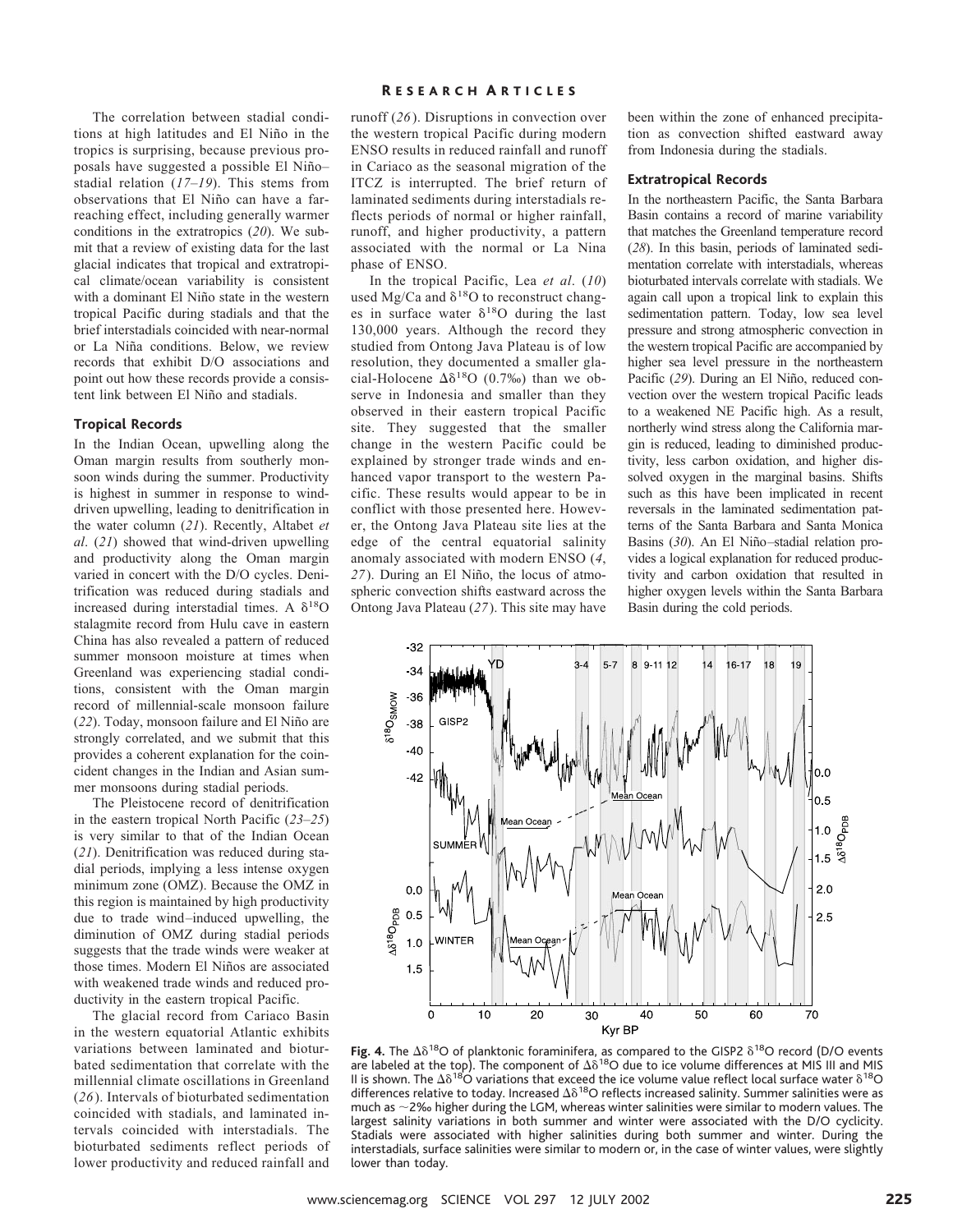The correlation between stadial conditions at high latitudes and El Niño in the tropics is surprising, because previous proposals have suggested a possible El Niñostadial relation (*17*–*19*). This stems from observations that El Niño can have a farreaching effect, including generally warmer conditions in the extratropics (*20*). We submit that a review of existing data for the last glacial indicates that tropical and extratropical climate/ocean variability is consistent with a dominant El Niño state in the western tropical Pacific during stadials and that the brief interstadials coincided with near-normal or La Niña conditions. Below, we review records that exhibit D/O associations and point out how these records provide a consistent link between El Niño and stadials.

#### **Tropical Records**

In the Indian Ocean, upwelling along the Oman margin results from southerly monsoon winds during the summer. Productivity is highest in summer in response to winddriven upwelling, leading to denitrification in the water column (*21*). Recently, Altabet *et al*. (*21*) showed that wind-driven upwelling and productivity along the Oman margin varied in concert with the D/O cycles. Denitrification was reduced during stadials and increased during interstadial times. A  $\delta^{18}O$ stalagmite record from Hulu cave in eastern China has also revealed a pattern of reduced summer monsoon moisture at times when Greenland was experiencing stadial conditions, consistent with the Oman margin record of millennial-scale monsoon failure (22). Today, monsoon failure and El Niño are strongly correlated, and we submit that this provides a coherent explanation for the coincident changes in the Indian and Asian summer monsoons during stadial periods.

The Pleistocene record of denitrification in the eastern tropical North Pacific (*23*–*25*) is very similar to that of the Indian Ocean (*21*). Denitrification was reduced during stadial periods, implying a less intense oxygen minimum zone (OMZ). Because the OMZ in this region is maintained by high productivity due to trade wind–induced upwelling, the diminution of OMZ during stadial periods suggests that the trade winds were weaker at those times. Modern El Niños are associated with weakened trade winds and reduced productivity in the eastern tropical Pacific.

The glacial record from Cariaco Basin in the western equatorial Atlantic exhibits variations between laminated and bioturbated sedimentation that correlate with the millennial climate oscillations in Greenland (*26*). Intervals of bioturbated sedimentation coincided with stadials, and laminated intervals coincided with interstadials. The bioturbated sediments reflect periods of lower productivity and reduced rainfall and

# R ESEARCH A RTICLES

runoff (*26*). Disruptions in convection over the western tropical Pacific during modern ENSO results in reduced rainfall and runoff in Cariaco as the seasonal migration of the ITCZ is interrupted. The brief return of laminated sediments during interstadials reflects periods of normal or higher rainfall, runoff, and higher productivity, a pattern associated with the normal or La Nina phase of ENSO.

In the tropical Pacific, Lea *et al*. (*10*) used Mg/Ca and  $\delta^{18}O$  to reconstruct changes in surface water  $\delta^{18}$ O during the last 130,000 years. Although the record they studied from Ontong Java Plateau is of low resolution, they documented a smaller glacial-Holocene  $\Delta \delta^{18}$ O (0.7‰) than we observe in Indonesia and smaller than they observed in their eastern tropical Pacific site. They suggested that the smaller change in the western Pacific could be explained by stronger trade winds and enhanced vapor transport to the western Pacific. These results would appear to be in conflict with those presented here. However, the Ontong Java Plateau site lies at the edge of the central equatorial salinity anomaly associated with modern ENSO (*4*, 27). During an El Niño, the locus of atmospheric convection shifts eastward across the Ontong Java Plateau (*27*). This site may have been within the zone of enhanced precipitation as convection shifted eastward away from Indonesia during the stadials.

#### **Extratropical Records**

In the northeastern Pacific, the Santa Barbara Basin contains a record of marine variability that matches the Greenland temperature record (*28*). In this basin, periods of laminated sedimentation correlate with interstadials, whereas bioturbated intervals correlate with stadials. We again call upon a tropical link to explain this sedimentation pattern. Today, low sea level pressure and strong atmospheric convection in the western tropical Pacific are accompanied by higher sea level pressure in the northeastern Pacific (29). During an El Niño, reduced convection over the western tropical Pacific leads to a weakened NE Pacific high. As a result, northerly wind stress along the California margin is reduced, leading to diminished productivity, less carbon oxidation, and higher dissolved oxygen in the marginal basins. Shifts such as this have been implicated in recent reversals in the laminated sedimentation patterns of the Santa Barbara and Santa Monica Basins (30). An El Niño-stadial relation provides a logical explanation for reduced productivity and carbon oxidation that resulted in higher oxygen levels within the Santa Barbara Basin during the cold periods.



Fig. 4. The  $\Delta \delta^{18}O$  of planktonic foraminifera, as compared to the GISP2  $\delta^{18}O$  record (D/O events are labeled at the top). The component of  $\Delta \delta^{18}O$  due to ice volume differences at MIS III and MIS II is shown. The  $\Delta\delta^{18}O$  variations that exceed the ice volume value reflect local surface water  $\delta^{18}O$ differences relative to today. Increased  $\Delta \delta^{18}O$  reflects increased salinity. Summer salinities were as much as  $\sim$  2% higher during the LGM, whereas winter salinities were similar to modern values. The largest salinity variations in both summer and winter were associated with the D/O cyclicity. Stadials were associated with higher salinities during both summer and winter. During the interstadials, surface salinities were similar to modern or, in the case of winter values, were slightly lower than today.